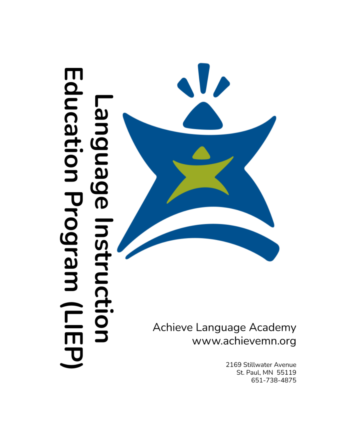# Education Program (LIEP -anguage Instruction



Achieve Language Academy www.achievemn.org

> 2169 Stillwater Avenue St. Paul, MN 55119 651-738-4875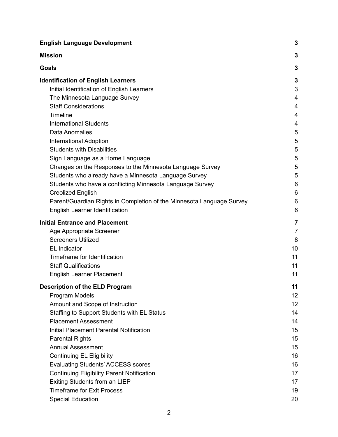| <b>English Language Development</b>                                   | 3              |
|-----------------------------------------------------------------------|----------------|
| <b>Mission</b>                                                        | 3              |
| <b>Goals</b>                                                          | 3              |
| <b>Identification of English Learners</b>                             | 3              |
| Initial Identification of English Learners                            | 3              |
| The Minnesota Language Survey                                         | 4              |
| <b>Staff Considerations</b>                                           | $\overline{4}$ |
| Timeline                                                              | 4              |
| <b>International Students</b>                                         | 4              |
| Data Anomalies                                                        | 5              |
| <b>International Adoption</b>                                         | 5              |
| <b>Students with Disabilities</b>                                     | 5              |
| Sign Language as a Home Language                                      | 5              |
| Changes on the Responses to the Minnesota Language Survey             | 5              |
| Students who already have a Minnesota Language Survey                 | 5              |
| Students who have a conflicting Minnesota Language Survey             | 6              |
| <b>Creolized English</b>                                              | 6              |
| Parent/Guardian Rights in Completion of the Minnesota Language Survey | 6              |
| English Learner Identification                                        | 6              |
| <b>Initial Entrance and Placement</b>                                 | 7              |
| Age Appropriate Screener                                              | $\overline{7}$ |
| <b>Screeners Utilized</b>                                             | 8              |
| <b>EL Indicator</b>                                                   | 10             |
| Timeframe for Identification                                          | 11             |
| <b>Staff Qualifications</b>                                           | 11             |
| <b>English Learner Placement</b>                                      | 11             |
| <b>Description of the ELD Program</b>                                 | 11             |
| Program Models                                                        | 12             |
| Amount and Scope of Instruction                                       | 12             |
| Staffing to Support Students with EL Status                           | 14             |
| <b>Placement Assessment</b>                                           | 14             |
| Initial Placement Parental Notification                               | 15             |
| <b>Parental Rights</b>                                                | 15             |
| <b>Annual Assessment</b>                                              | 15             |
| <b>Continuing EL Eligibility</b>                                      | 16             |
| <b>Evaluating Students' ACCESS scores</b>                             | 16             |
| <b>Continuing Eligibility Parent Notification</b>                     | 17             |
| Exiting Students from an LIEP                                         | 17             |
| <b>Timeframe for Exit Process</b>                                     | 19             |
| <b>Special Education</b>                                              | 20             |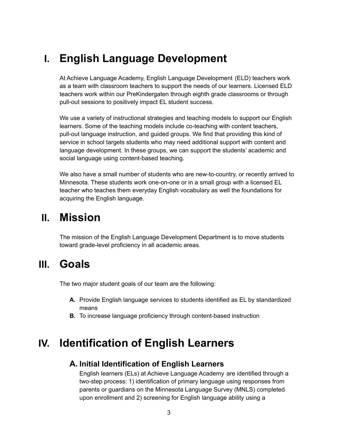# <span id="page-2-0"></span>**I. English Language Development**

At Achieve Language Academy, English Language Development (ELD) teachers work as a team with classroom teachers to support the needs of our learners. Licensed ELD teachers work within our PreKindergaten through eighth grade classrooms or through pull-out sessions to positively impact EL student success.

We use a variety of instructional strategies and teaching models to support our English learners. Some of the teaching models include co-teaching with content teachers, pull-out language instruction, and guided groups. We find that providing this kind of service in school targets students who may need additional support with content and language development. In these groups, we can support the students' academic and social language using content-based teaching.

We also have a small number of students who are new-to-country, or recently arrived to Minnesota. These students work one-on-one or in a small group with a licensed EL teacher who teaches them everyday English vocabulary as well the foundations for acquiring the English language.

# <span id="page-2-1"></span>**II. Mission**

The mission of the English Language Development Department is to move students toward grade-level proficiency in all academic areas.

# <span id="page-2-2"></span>**III. Goals**

The two major student goals of our team are the following:

- **A.** Provide English language services to students identified as EL by standardized means
- **B.** To increase language proficiency through content-based instruction

# <span id="page-2-4"></span><span id="page-2-3"></span>**IV. Identification of English Learners**

### **A. Initial Identification of English Learners**

English learners (ELs) at Achieve Language Academy are identified through a two-step process: 1) identification of primary language using responses from parents or guardians on the Minnesota Language Survey (MNLS) completed upon enrollment and 2) screening for English language ability using a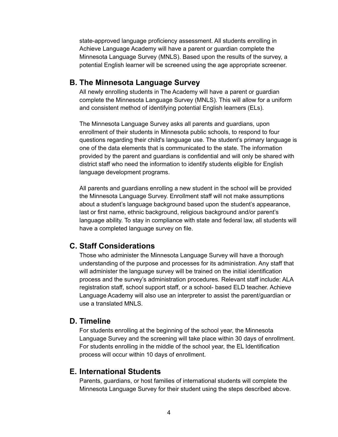state-approved language proficiency assessment. All students enrolling in Achieve Language Academy will have a parent or guardian complete the Minnesota Language Survey (MNLS). Based upon the results of the survey, a potential English learner will be screened using the age appropriate screener.

#### <span id="page-3-0"></span>**B. The Minnesota Language Survey**

All newly enrolling students in The Academy will have a parent or guardian complete the Minnesota Language Survey (MNLS). This will allow for a uniform and consistent method of identifying potential English learners (ELs).

The Minnesota Language Survey asks all parents and guardians, upon enrollment of their students in Minnesota public schools, to respond to four questions regarding their child's language use. The student's primary language is one of the data elements that is communicated to the state. The information provided by the parent and guardians is confidential and will only be shared with district staff who need the information to identify students eligible for English language development programs.

All parents and guardians enrolling a new student in the school will be provided the Minnesota Language Survey. Enrollment staff will not make assumptions about a student's language background based upon the student's appearance, last or first name, ethnic background, religious background and/or parent's language ability. To stay in compliance with state and federal law, all students will have a completed language survey on file.

#### <span id="page-3-1"></span>**C. Staff Considerations**

Those who administer the Minnesota Language Survey will have a thorough understanding of the purpose and processes for its administration. Any staff that will administer the language survey will be trained on the initial identification process and the survey's administration procedures. Relevant staff include: ALA registration staff, school support staff, or a school- based ELD teacher. Achieve Language Academy will also use an interpreter to assist the parent/guardian or use a translated MNLS.

#### <span id="page-3-2"></span>**D. Timeline**

For students enrolling at the beginning of the school year, the Minnesota Language Survey and the screening will take place within 30 days of enrollment. For students enrolling in the middle of the school year, the EL Identification process will occur within 10 days of enrollment.

#### <span id="page-3-3"></span>**E. International Students**

Parents, guardians, or host families of international students will complete the Minnesota Language Survey for their student using the steps described above.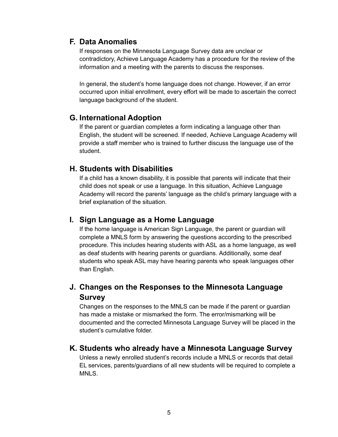## <span id="page-4-0"></span>**F. Data Anomalies**

If responses on the Minnesota Language Survey data are unclear or contradictory, Achieve Language Academy has a procedure for the review of the information and a meeting with the parents to discuss the responses.

In general, the student's home language does not change. However, if an error occurred upon initial enrollment, every effort will be made to ascertain the correct language background of the student.

### <span id="page-4-1"></span>**G. International Adoption**

If the parent or guardian completes a form indicating a language other than English, the student will be screened. If needed, Achieve Language Academy will provide a staff member who is trained to further discuss the language use of the student.

### <span id="page-4-2"></span>**H. Students with Disabilities**

If a child has a known disability, it is possible that parents will indicate that their child does not speak or use a language. In this situation, Achieve Language Academy will record the parents' language as the child's primary language with a brief explanation of the situation.

### <span id="page-4-3"></span>**I. Sign Language as a Home Language**

If the home language is American Sign Language, the parent or guardian will complete a MNLS form by answering the questions according to the prescribed procedure. This includes hearing students with ASL as a home language, as well as deaf students with hearing parents or guardians. Additionally, some deaf students who speak ASL may have hearing parents who speak languages other than English.

## <span id="page-4-4"></span>**J. Changes on the Responses to the Minnesota Language Survey**

Changes on the responses to the MNLS can be made if the parent or guardian has made a mistake or mismarked the form. The error/mismarking will be documented and the corrected Minnesota Language Survey will be placed in the student's cumulative folder.

#### <span id="page-4-5"></span>**K. Students who already have a Minnesota Language Survey**

Unless a newly enrolled student's records include a MNLS or records that detail EL services, parents/guardians of all new students will be required to complete a MNLS.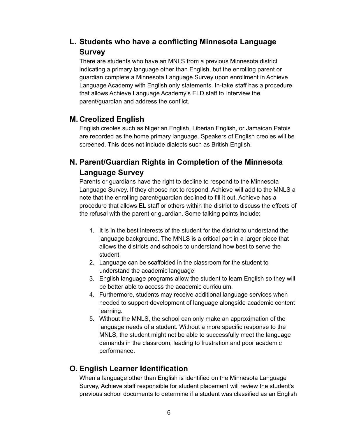## <span id="page-5-0"></span>**L. Students who have a conflicting Minnesota Language Survey**

There are students who have an MNLS from a previous Minnesota district indicating a primary language other than English, but the enrolling parent or guardian complete a Minnesota Language Survey upon enrollment in Achieve Language Academy with English only statements. In-take staff has a procedure that allows Achieve Language Academy's ELD staff to interview the parent/guardian and address the conflict.

### <span id="page-5-1"></span>**M. Creolized English**

English creoles such as Nigerian English, Liberian English, or Jamaican Patois are recorded as the home primary language. Speakers of English creoles will be screened. This does not include dialects such as British English.

## <span id="page-5-2"></span>**N. Parent/Guardian Rights in Completion of the Minnesota Language Survey**

Parents or guardians have the right to decline to respond to the Minnesota Language Survey. If they choose not to respond, Achieve will add to the MNLS a note that the enrolling parent/guardian declined to fill it out. Achieve has a procedure that allows EL staff or others within the district to discuss the effects of the refusal with the parent or guardian. Some talking points include:

- 1. It is in the best interests of the student for the district to understand the language background. The MNLS is a critical part in a larger piece that allows the districts and schools to understand how best to serve the student.
- 2. Language can be scaffolded in the classroom for the student to understand the academic language.
- 3. English language programs allow the student to learn English so they will be better able to access the academic curriculum.
- 4. Furthermore, students may receive additional language services when needed to support development of language alongside academic content learning.
- 5. Without the MNLS, the school can only make an approximation of the language needs of a student. Without a more specific response to the MNLS, the student might not be able to successfully meet the language demands in the classroom; leading to frustration and poor academic performance.

### <span id="page-5-3"></span>**O. English Learner Identification**

When a language other than English is identified on the Minnesota Language Survey, Achieve staff responsible for student placement will review the student's previous school documents to determine if a student was classified as an English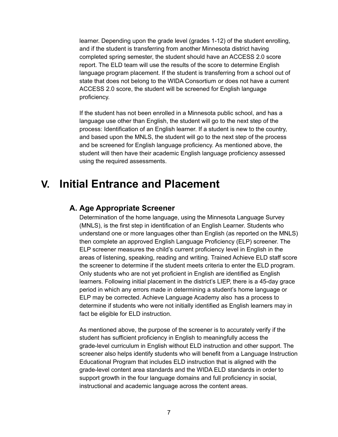learner. Depending upon the grade level (grades 1-12) of the student enrolling, and if the student is transferring from another Minnesota district having completed spring semester, the student should have an ACCESS 2.0 score report. The ELD team will use the results of the score to determine English language program placement. If the student is transferring from a school out of state that does not belong to the WIDA Consortium or does not have a current ACCESS 2.0 score, the student will be screened for English language proficiency.

If the student has not been enrolled in a Minnesota public school, and has a language use other than English, the student will go to the next step of the process: Identification of an English learner. If a student is new to the country, and based upon the MNLS, the student will go to the next step of the process and be screened for English language proficiency. As mentioned above, the student will then have their academic English language proficiency assessed using the required assessments.

# <span id="page-6-1"></span><span id="page-6-0"></span>**V. Initial Entrance and Placement**

### **A. Age Appropriate Screener**

Determination of the home language, using the Minnesota Language Survey (MNLS), is the first step in identification of an English Learner. Students who understand one or more languages other than English (as reported on the MNLS) then complete an approved English Language Proficiency (ELP) screener. The ELP screener measures the child's current proficiency level in English in the areas of listening, speaking, reading and writing. Trained Achieve ELD staff score the screener to determine if the student meets criteria to enter the ELD program. Only students who are not yet proficient in English are identified as English learners. Following initial placement in the district's LIEP, there is a 45-day grace period in which any errors made in determining a student's home language or ELP may be corrected. Achieve Language Academy also has a process to determine if students who were not initially identified as English learners may in fact be eligible for ELD instruction.

As mentioned above, the purpose of the screener is to accurately verify if the student has sufficient proficiency in English to meaningfully access the grade-level curriculum in English without ELD instruction and other support. The screener also helps identify students who will benefit from a Language Instruction Educational Program that includes ELD instruction that is aligned with the grade-level content area standards and the WIDA ELD standards in order to support growth in the four language domains and full proficiency in social, instructional and academic language across the content areas.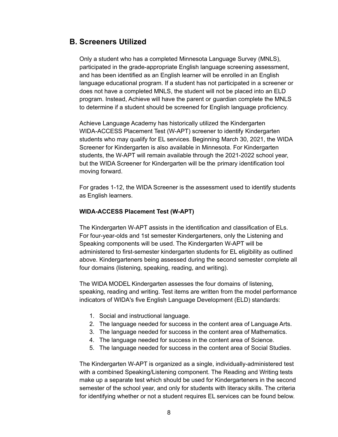#### <span id="page-7-0"></span>**B. Screeners Utilized**

Only a student who has a completed Minnesota Language Survey (MNLS), participated in the grade-appropriate English language screening assessment, and has been identified as an English learner will be enrolled in an English language educational program. If a student has not participated in a screener or does not have a completed MNLS, the student will not be placed into an ELD program. Instead, Achieve will have the parent or guardian complete the MNLS to determine if a student should be screened for English language proficiency.

Achieve Language Academy has historically utilized the Kindergarten WIDA-ACCESS Placement Test (W-APT) screener to identify Kindergarten students who may qualify for EL services. Beginning March 30, 2021, the WIDA Screener for Kindergarten is also available in Minnesota. For Kindergarten students, the W-APT will remain available through the 2021-2022 school year, but the WIDA Screener for Kindergarten will be the primary identification tool moving forward.

For grades 1-12, the WIDA Screener is the assessment used to identify students as English learners.

#### **WIDA-ACCESS Placement Test (W-APT)**

The Kindergarten W-APT assists in the identification and classification of ELs. For four-year-olds and 1st semester Kindergarteners, only the Listening and Speaking components will be used. The Kindergarten W-APT will be administered to first-semester kindergarten students for EL eligibility as outlined above. Kindergarteners being assessed during the second semester complete all four domains (listening, speaking, reading, and writing).

The WIDA MODEL Kindergarten assesses the four domains of listening, speaking, reading and writing. Test items are written from the model performance indicators of WIDA's five English Language Development (ELD) standards:

- 1. Social and instructional language.
- 2. The language needed for success in the content area of Language Arts.
- 3. The language needed for success in the content area of Mathematics.
- 4. The language needed for success in the content area of Science.
- 5. The language needed for success in the content area of Social Studies.

The Kindergarten W-APT is organized as a single, individually-administered test with a combined Speaking/Listening component. The Reading and Writing tests make up a separate test which should be used for Kindergarteners in the second semester of the school year, and only for students with literacy skills. The criteria for identifying whether or not a student requires EL services can be found below.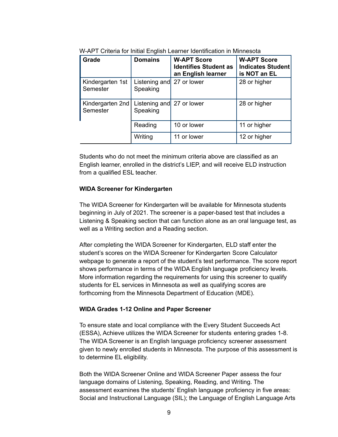| Grade                        | <b>Domains</b>                        | <b>W-APT Score</b><br><b>Identifies Student as</b><br>an English learner | <b>W-APT Score</b><br><b>Indicates Student</b><br>is NOT an EL |
|------------------------------|---------------------------------------|--------------------------------------------------------------------------|----------------------------------------------------------------|
| Kindergarten 1st<br>Semester | Listening and 27 or lower<br>Speaking |                                                                          | 28 or higher                                                   |
| Kindergarten 2nd<br>Semester | Listening and 27 or lower<br>Speaking |                                                                          | 28 or higher                                                   |
|                              | Reading                               | 10 or lower                                                              | 11 or higher                                                   |
|                              | Writing                               | 11 or lower                                                              | 12 or higher                                                   |

W-APT Criteria for Initial English Learner Identification in Minnesota

Students who do not meet the minimum criteria above are classified as an English learner, enrolled in the district's LIEP, and will receive ELD instruction from a qualified ESL teacher.

#### **WIDA Screener for Kindergarten**

The WIDA Screener for Kindergarten will be available for Minnesota students beginning in July of 2021. The screener is a paper-based test that includes a Listening & Speaking section that can function alone as an oral language test, as well as a Writing section and a Reading section.

After completing the WIDA Screener for Kindergarten, ELD staff enter the student's scores on the WIDA Screener for Kindergarten Score Calculator webpage to generate a report of the student's test performance. The score report shows performance in terms of the WIDA English language proficiency levels. More information regarding the requirements for using this screener to qualify students for EL services in Minnesota as well as qualifying scores are forthcoming from the Minnesota Department of Education (MDE).

#### **WIDA Grades 1-12 Online and Paper Screener**

To ensure state and local compliance with the Every Student Succeeds Act (ESSA), Achieve utilizes the WIDA Screener for students entering grades 1-8. The WIDA Screener is an English language proficiency screener assessment given to newly enrolled students in Minnesota. The purpose of this assessment is to determine EL eligibility.

Both the WIDA Screener Online and WIDA Screener Paper assess the four language domains of Listening, Speaking, Reading, and Writing. The assessment examines the students' English language proficiency in five areas: Social and Instructional Language (SIL); the Language of English Language Arts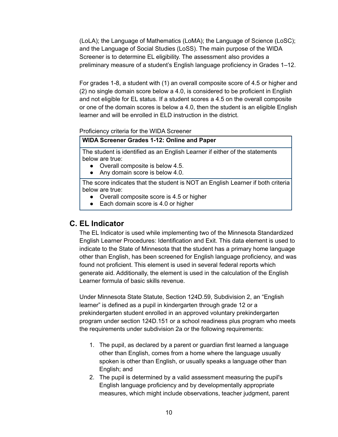(LoLA); the Language of Mathematics (LoMA); the Language of Science (LoSC); and the Language of Social Studies (LoSS). The main purpose of the WIDA Screener is to determine EL eligibility. The assessment also provides a preliminary measure of a student's English language proficiency in Grades 1–12.

For grades 1-8, a student with (1) an overall composite score of 4.5 or higher and (2) no single domain score below a 4.0, is considered to be proficient in English and not eligible for EL status. If a student scores a 4.5 on the overall composite or one of the domain scores is below a 4.0, then the student is an eligible English learner and will be enrolled in ELD instruction in the district.

Proficiency criteria for the WIDA Screener

#### **WIDA Screener Grades 1-12: Online and Paper**

The student is identified as an English Learner if either of the statements below are true:

- Overall composite is below 4.5.
- Any domain score is below 4.0.

The score indicates that the student is NOT an English Learner if both criteria below are true:

- Overall composite score is 4.5 or higher
- Each domain score is 4.0 or higher

#### <span id="page-9-0"></span>**C. EL Indicator**

The EL Indicator is used while implementing two of the Minnesota Standardized English Learner Procedures: Identification and Exit. This data element is used to indicate to the State of Minnesota that the student has a primary home language other than English, has been screened for English language proficiency, and was found not proficient. This element is used in several federal reports which generate aid. Additionally, the element is used in the calculation of the English Learner formula of basic skills revenue.

Under Minnesota State Statute, Section 124D.59, Subdivision 2, an "English learner" is defined as a pupil in kindergarten through grade 12 or a prekindergarten student enrolled in an approved voluntary prekindergarten program under section 124D.151 or a school readiness plus program who meets the requirements under subdivision 2a or the following requirements:

- 1. The pupil, as declared by a parent or guardian first learned a language other than English, comes from a home where the language usually spoken is other than English, or usually speaks a language other than English; and
- 2. The pupil is determined by a valid assessment measuring the pupil's English language proficiency and by developmentally appropriate measures, which might include observations, teacher judgment, parent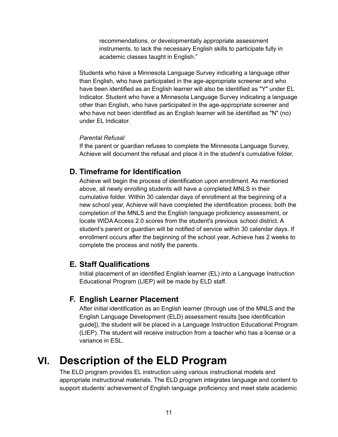recommendations, or developmentally appropriate assessment instruments, to lack the necessary English skills to participate fully in academic classes taught in English."

Students who have a Minnesota Language Survey indicating a language other than English, who have participated in the age-appropriate screener and who have been identified as an English learner will also be identified as "Y" under EL Indicator. Student who have a Minnesota Language Survey indicating a language other than English, who have participated in the age-appropriate screener and who have not been identified as an English learner will be identified as "N" (no) under EL Indicator.

#### *Parental Refusal*

If the parent or guardian refuses to complete the Minnesota Language Survey, Achieve will document the refusal and place it in the student's cumulative folder.

#### <span id="page-10-0"></span>**D. Timeframe for Identification**

Achieve will begin the process of identification upon enrollment. As mentioned above, all newly enrolling students will have a completed MNLS in their cumulative folder. Within 30 calendar days of enrollment at the beginning of a new school year, Achieve will have completed the identification process; both the completion of the MNLS and the English language proficiency assessment, or locate WIDA Access 2.0 scores from the student's previous school district. A student's parent or guardian will be notified of service within 30 calendar days. If enrollment occurs after the beginning of the school year, Achieve has 2 weeks to complete the process and notify the parents.

#### <span id="page-10-1"></span>**E. Staff Qualifications**

Initial placement of an identified English learner (EL) into a Language Instruction Educational Program (LIEP) will be made by ELD staff.

#### <span id="page-10-2"></span>**F. English Learner Placement**

After initial identification as an English learner (through use of the MNLS and the English Language Development (ELD) assessment results [see identification guide]), the student will be placed in a Language Instruction Educational Program (LIEP). The student will receive instruction from a teacher who has a license or a variance in ESL.

# <span id="page-10-3"></span>**VI. Description of the ELD Program**

The ELD program provides EL instruction using various instructional models and appropriate instructional materials. The ELD program integrates language and content to support students' achievement of English language proficiency and meet state academic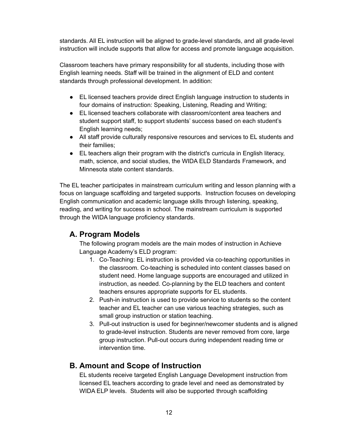standards. All EL instruction will be aligned to grade-level standards, and all grade-level instruction will include supports that allow for access and promote language acquisition.

Classroom teachers have primary responsibility for all students, including those with English learning needs. Staff will be trained in the alignment of ELD and content standards through professional development. In addition:

- EL licensed teachers provide direct English language instruction to students in four domains of instruction: Speaking, Listening, Reading and Writing;
- EL licensed teachers collaborate with classroom/content area teachers and student support staff, to support students' success based on each student's English learning needs;
- All staff provide culturally responsive resources and services to EL students and their families;
- EL teachers align their program with the district's curricula in English literacy, math, science, and social studies, the WIDA ELD Standards Framework, and Minnesota state content standards.

The EL teacher participates in mainstream curriculum writing and lesson planning with a focus on language scaffolding and targeted supports. Instruction focuses on developing English communication and academic language skills through listening, speaking, reading, and writing for success in school. The mainstream curriculum is supported through the WIDA language proficiency standards.

## <span id="page-11-0"></span>**A. Program Models**

The following program models are the main modes of instruction in Achieve Language Academy's ELD program:

- 1. Co-Teaching: EL instruction is provided via co-teaching opportunities in the classroom. Co-teaching is scheduled into content classes based on student need. Home language supports are encouraged and utilized in instruction, as needed. Co-planning by the ELD teachers and content teachers ensures appropriate supports for EL students.
- 2. Push-in instruction is used to provide service to students so the content teacher and EL teacher can use various teaching strategies, such as small group instruction or station teaching.
- 3. Pull-out instruction is used for beginner/newcomer students and is aligned to grade-level instruction. Students are never removed from core, large group instruction. Pull-out occurs during independent reading time or intervention time.

### <span id="page-11-1"></span>**B. Amount and Scope of Instruction**

EL students receive targeted English Language Development instruction from licensed EL teachers according to grade level and need as demonstrated by WIDA ELP levels. Students will also be supported through scaffolding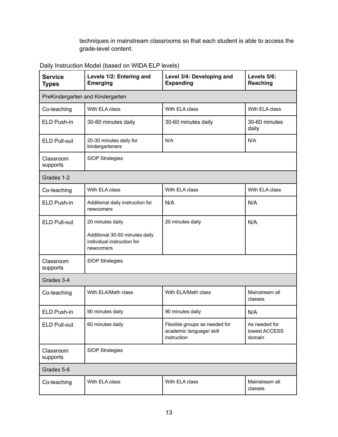techniques in mainstream classrooms so that each student is able to access the grade-level content.

Daily Instruction Model (based on WIDA ELP levels)

| <b>Service</b><br><b>Types</b>   | Levels 1/2: Entering and<br><b>Emerging</b>                               | Level 3/4: Developing and<br><b>Expanding</b>                            | Levels 5/6:<br>Reaching                  |  |  |
|----------------------------------|---------------------------------------------------------------------------|--------------------------------------------------------------------------|------------------------------------------|--|--|
| PreKindergarten and Kindergarten |                                                                           |                                                                          |                                          |  |  |
| Co-teaching                      | With ELA class                                                            | With ELA class                                                           | With ELA class                           |  |  |
| ELD Push-in                      | 30-60 minutes daily                                                       | 30-60 minutes daily                                                      | 30-60 minutes<br>daily                   |  |  |
| <b>ELD Pull-out</b>              | 20-30 minutes daily for<br>kindergarteners                                | N/A                                                                      | N/A                                      |  |  |
| Classroom<br>supports            | <b>SIOP Strategies</b>                                                    |                                                                          |                                          |  |  |
| Grades 1-2                       |                                                                           |                                                                          |                                          |  |  |
| Co-teaching                      | With ELA class                                                            | With ELA class                                                           | With ELA class                           |  |  |
| ELD Push-in                      | Additional daily instruction for<br>newcomers                             | N/A                                                                      | N/A                                      |  |  |
| <b>ELD Pull-out</b>              | 20 minutes daily                                                          | 20 minutes daily                                                         | N/A                                      |  |  |
|                                  | Additional 30-50 minutes daily<br>individual instruction for<br>newcomers |                                                                          |                                          |  |  |
| Classroom<br>supports            | <b>SIOP Strategies</b>                                                    |                                                                          |                                          |  |  |
| Grades 3-4                       |                                                                           |                                                                          |                                          |  |  |
| Co-teaching                      | With ELA/Math class                                                       | With ELA/Math class                                                      | Mainstream all<br>classes                |  |  |
| ELD Push-in                      | 90 minutes daily                                                          | 90 minutes daily                                                         | N/A                                      |  |  |
| <b>ELD Pull-out</b>              | 60 minutes daily                                                          | Flexible groups as needed for<br>academic language/ skill<br>instruction | As needed for<br>lowest ACCESS<br>domain |  |  |
| Classroom<br>supports            | <b>SIOP Strategies</b>                                                    |                                                                          |                                          |  |  |
| Grades 5-6                       |                                                                           |                                                                          |                                          |  |  |
| Co-teaching                      | With ELA class                                                            | With ELA class                                                           | Mainstream all<br>classes                |  |  |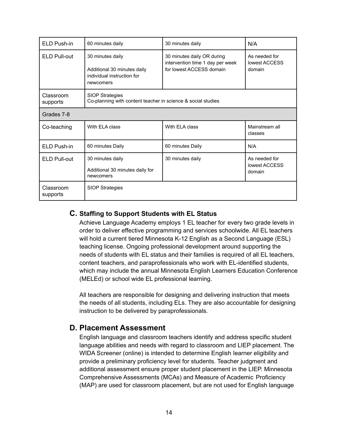| ELD Push-in           | 60 minutes daily                                                                           | 30 minutes daily                                                                           | N/A                                      |  |
|-----------------------|--------------------------------------------------------------------------------------------|--------------------------------------------------------------------------------------------|------------------------------------------|--|
| ELD Pull-out          | 30 minutes daily<br>Additional 30 minutes daily<br>individual instruction for<br>newcomers | 30 minutes daily OR during<br>intervention time 1 day per week<br>for lowest ACCESS domain | As needed for<br>lowest ACCESS<br>domain |  |
| Classroom<br>supports | <b>SIOP Strategies</b><br>Co-planning with content teacher in science & social studies     |                                                                                            |                                          |  |
| Grades 7-8            |                                                                                            |                                                                                            |                                          |  |
| Co-teaching           | With FI A class                                                                            | With FI A class                                                                            | Mainstream all<br>classes                |  |
| ELD Push-in           | 60 minutes Daily                                                                           | 60 minutes Daily                                                                           | N/A                                      |  |
| <b>ELD Pull-out</b>   | 30 minutes daily<br>Additional 30 minutes daily for<br>newcomers                           | 30 minutes daily                                                                           | As needed for<br>lowest ACCESS<br>domain |  |
| Classroom<br>supports | <b>SIOP Strategies</b>                                                                     |                                                                                            |                                          |  |

#### <span id="page-13-0"></span>**C. Staffing to Support Students with EL Status**

Achieve Language Academy employs 1 EL teacher for every two grade levels in order to deliver effective programming and services schoolwide. All EL teachers will hold a current tiered Minnesota K-12 English as a Second Language (ESL) teaching license. Ongoing professional development around supporting the needs of students with EL status and their families is required of all EL teachers, content teachers, and paraprofessionals who work with EL-identified students, which may include the annual Minnesota English Learners Education Conference (MELEd) or school wide EL professional learning.

All teachers are responsible for designing and delivering instruction that meets the needs of all students, including ELs. They are also accountable for designing instruction to be delivered by paraprofessionals.

### <span id="page-13-1"></span>**D. Placement Assessment**

English language and classroom teachers identify and address specific student language abilities and needs with regard to classroom and LIEP placement. The WIDA Screener (online) is intended to determine English learner eligibility and provide a preliminary proficiency level for students. Teacher judgment and additional assessment ensure proper student placement in the LIEP. Minnesota Comprehensive Assessments (MCAs) and Measure of Academic Proficiency (MAP) are used for classroom placement, but are not used for English language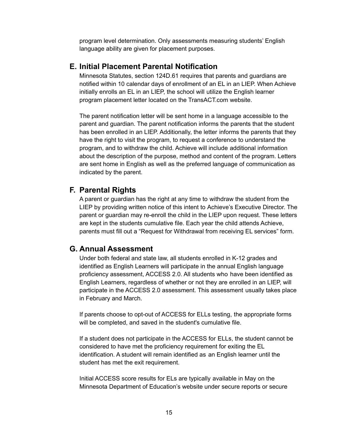program level determination. Only assessments measuring students' English language ability are given for placement purposes.

#### <span id="page-14-0"></span>**E. Initial Placement Parental Notification**

Minnesota Statutes, section 124D.61 requires that parents and guardians are notified within 10 calendar days of enrollment of an EL in an LIEP. When Achieve initially enrolls an EL in an LIEP, the school will utilize the English learner program placement letter located on the TransACT.com website.

The parent notification letter will be sent home in a language accessible to the parent and guardian. The parent notification informs the parents that the student has been enrolled in an LIEP. Additionally, the letter informs the parents that they have the right to visit the program, to request a conference to understand the program, and to withdraw the child. Achieve will include additional information about the description of the purpose, method and content of the program. Letters are sent home in English as well as the preferred language of communication as indicated by the parent.

#### <span id="page-14-1"></span>**F. Parental Rights**

A parent or guardian has the right at any time to withdraw the student from the LIEP by providing written notice of this intent to Achieve's Executive Director. The parent or guardian may re-enroll the child in the LIEP upon request. These letters are kept in the students cumulative file. Each year the child attends Achieve, parents must fill out a "Request for Withdrawal from receiving EL services" form.

#### <span id="page-14-2"></span>**G. Annual Assessment**

Under both federal and state law, all students enrolled in K-12 grades and identified as English Learners will participate in the annual English language proficiency assessment, ACCESS 2.0. All students who have been identified as English Learners, regardless of whether or not they are enrolled in an LIEP, will participate in the ACCESS 2.0 assessment. This assessment usually takes place in February and March.

If parents choose to opt-out of ACCESS for ELLs testing, the appropriate forms will be completed, and saved in the student's cumulative file.

If a student does not participate in the ACCESS for ELLs, the student cannot be considered to have met the proficiency requirement for exiting the EL identification. A student will remain identified as an English learner until the student has met the exit requirement.

Initial ACCESS score results for ELs are typically available in May on the Minnesota Department of Education's website under secure reports or secure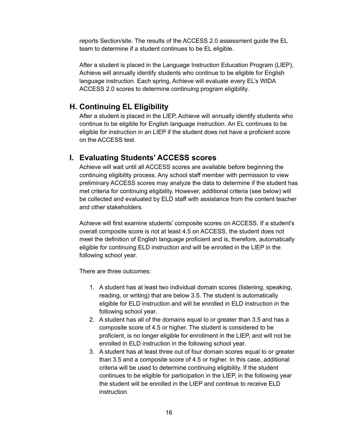reports Section/site. The results of the ACCESS 2.0 assessment guide the EL team to determine if a student continues to be EL eligible.

After a student is placed in the Language Instruction Education Program (LIEP), Achieve will annually identify students who continue to be eligible for English language instruction. Each spring, Achieve will evaluate every EL's WIDA ACCESS 2.0 scores to determine continuing program eligibility.

#### <span id="page-15-0"></span>**H. Continuing EL Eligibility**

After a student is placed in the LIEP, Achieve will annually identify students who continue to be eligible for English language instruction. An EL continues to be eligible for instruction in an LIEP if the student does not have a proficient score on the ACCESS test.

#### <span id="page-15-1"></span>**I. Evaluating Students' ACCESS scores**

Achieve will wait until all ACCESS scores are available before beginning the continuing eligibility process. Any school staff member with permission to view preliminary ACCESS scores may analyze the data to determine if the student has met criteria for continuing eligibility. However, additional criteria (see below) will be collected and evaluated by ELD staff with assistance from the content teacher and other stakeholders.

Achieve will first examine students' composite scores on ACCESS. If a student's overall composite score is not at least 4.5 on ACCESS, the student does not meet the definition of English language proficient and is, therefore, automatically eligible for continuing ELD instruction and will be enrolled in the LIEP in the following school year.

There are three outcomes:

- 1. A student has at least two individual domain scores (listening, speaking, reading, or writing) that are below 3.5. The student is automatically eligible for ELD instruction and will be enrolled in ELD instruction in the following school year.
- 2. A student has all of the domains equal to or greater than 3.5 and has a composite score of 4.5 or higher. The student is considered to be proficient, is no longer eligible for enrollment in the LIEP, and will not be enrolled in ELD instruction in the following school year.
- 3. A student has at least three out of four domain scores equal to or greater than 3.5 and a composite score of 4.5 or higher. In this case, additional criteria will be used to determine continuing eligibility. If the student continues to be eligible for participation in the LIEP, in the following year the student will be enrolled in the LIEP and continue to receive ELD instruction.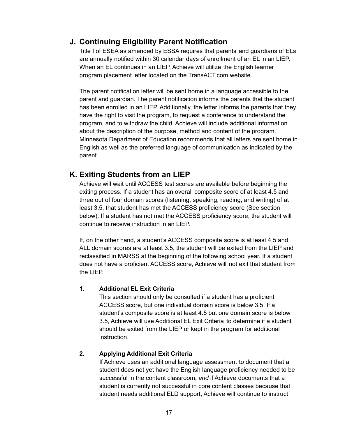## <span id="page-16-0"></span>**J. Continuing Eligibility Parent Notification**

Title I of ESEA as amended by ESSA requires that parents and guardians of ELs are annually notified within 30 calendar days of enrollment of an EL in an LIEP. When an EL continues in an LIEP, Achieve will utilize the English learner program placement letter located on the TransACT.com website.

The parent notification letter will be sent home in a language accessible to the parent and guardian. The parent notification informs the parents that the student has been enrolled in an LIEP. Additionally, the letter informs the parents that they have the right to visit the program, to request a conference to understand the program, and to withdraw the child. Achieve will include additional information about the description of the purpose, method and content of the program. Minnesota Department of Education recommends that all letters are sent home in English as well as the preferred language of communication as indicated by the parent.

## <span id="page-16-1"></span>**K. Exiting Students from an LIEP**

Achieve will wait until ACCESS test scores are available before beginning the exiting process. If a student has an overall composite score of at least 4.5 and three out of four domain scores (listening, speaking, reading, and writing) of at least 3.5, that student has met the ACCESS proficiency score (See section below). If a student has not met the ACCESS proficiency score, the student will continue to receive instruction in an LIEP.

If, on the other hand, a student's ACCESS composite score is at least 4.5 and ALL domain scores are at least 3.5, the student will be exited from the LIEP and reclassified in MARSS at the beginning of the following school year. If a student does not have a proficient ACCESS score, Achieve will not exit that student from the LIEP.

#### **1. Additional EL Exit Criteria**

This section should only be consulted if a student has a proficient ACCESS score, but one individual domain score is below 3.5. If a student's composite score is at least 4.5 but one domain score is below 3.5, Achieve will use Additional EL Exit Criteria to determine if a student should be exited from the LIEP or kept in the program for additional instruction.

#### **2. Applying Additional Exit Criteria**

If Achieve uses an additional language assessment to document that a student does not yet have the English language proficiency needed to be successful in the content classroom, *and* if Achieve documents that a student is currently not successful in core content classes because that student needs additional ELD support, Achieve will continue to instruct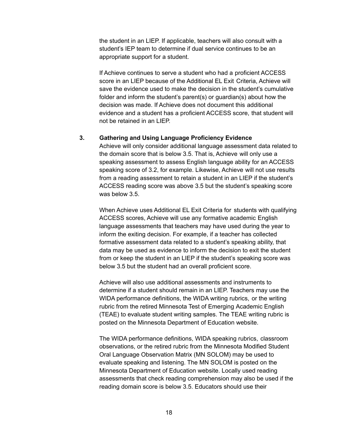the student in an LIEP. If applicable, teachers will also consult with a student's IEP team to determine if dual service continues to be an appropriate support for a student.

If Achieve continues to serve a student who had a proficient ACCESS score in an LIEP because of the Additional EL Exit Criteria, Achieve will save the evidence used to make the decision in the student's cumulative folder and inform the student's parent(s) or guardian(s) about how the decision was made. If Achieve does not document this additional evidence and a student has a proficient ACCESS score, that student will not be retained in an LIEP.

#### **3. Gathering and Using Language Proficiency Evidence**

Achieve will only consider additional language assessment data related to the domain score that is below 3.5. That is, Achieve will only use a speaking assessment to assess English language ability for an ACCESS speaking score of 3.2, for example. Likewise, Achieve will not use results from a reading assessment to retain a student in an LIEP if the student's ACCESS reading score was above 3.5 but the student's speaking score was below 3.5.

When Achieve uses Additional EL Exit Criteria for students with qualifying ACCESS scores, Achieve will use any formative academic English language assessments that teachers may have used during the year to inform the exiting decision. For example, if a teacher has collected formative assessment data related to a student's speaking ability, that data may be used as evidence to inform the decision to exit the student from or keep the student in an LIEP if the student's speaking score was below 3.5 but the student had an overall proficient score.

Achieve will also use additional assessments and instruments to determine if a student should remain in an LIEP. Teachers may use the WIDA performance definitions, the WIDA writing rubrics, or the writing rubric from the retired Minnesota Test of Emerging Academic English (TEAE) to evaluate student writing samples. The TEAE writing rubric is posted on the Minnesota Department of Education website.

The WIDA performance definitions, WIDA speaking rubrics, classroom observations, or the retired rubric from the Minnesota Modified Student Oral Language Observation Matrix (MN SOLOM) may be used to evaluate speaking and listening. The MN SOLOM is posted on the Minnesota Department of Education website. Locally used reading assessments that check reading comprehension may also be used if the reading domain score is below 3.5. Educators should use their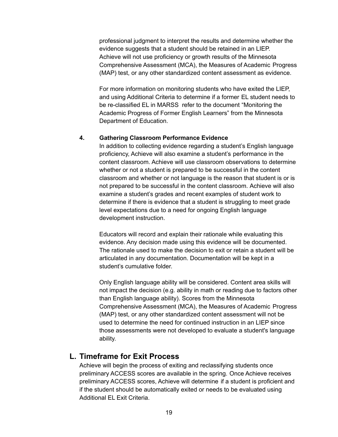professional judgment to interpret the results and determine whether the evidence suggests that a student should be retained in an LIEP. Achieve will not use proficiency or growth results of the Minnesota Comprehensive Assessment (MCA), the Measures of Academic Progress (MAP) test, or any other standardized content assessment as evidence.

For more information on monitoring students who have exited the LIEP, and using Additional Criteria to determine if a former EL student needs to be re-classified EL in MARSS refer to the document "Monitoring the Academic Progress of Former English Learners" from the Minnesota Department of Education.

#### **4. Gathering Classroom Performance Evidence**

In addition to collecting evidence regarding a student's English language proficiency, Achieve will also examine a student's performance in the content classroom. Achieve will use classroom observations to determine whether or not a student is prepared to be successful in the content classroom and whether or not language is the reason that student is or is not prepared to be successful in the content classroom. Achieve will also examine a student's grades and recent examples of student work to determine if there is evidence that a student is struggling to meet grade level expectations due to a need for ongoing English language development instruction.

Educators will record and explain their rationale while evaluating this evidence. Any decision made using this evidence will be documented. The rationale used to make the decision to exit or retain a student will be articulated in any documentation. Documentation will be kept in a student's cumulative folder.

Only English language ability will be considered. Content area skills will not impact the decision (e.g. ability in math or reading due to factors other than English language ability). Scores from the Minnesota Comprehensive Assessment (MCA), the Measures of Academic Progress (MAP) test, or any other standardized content assessment will not be used to determine the need for continued instruction in an LIEP since those assessments were not developed to evaluate a student's language ability.

#### <span id="page-18-0"></span>**L. Timeframe for Exit Process**

Achieve will begin the process of exiting and reclassifying students once preliminary ACCESS scores are available in the spring. Once Achieve receives preliminary ACCESS scores, Achieve will determine if a student is proficient and if the student should be automatically exited or needs to be evaluated using Additional EL Exit Criteria.